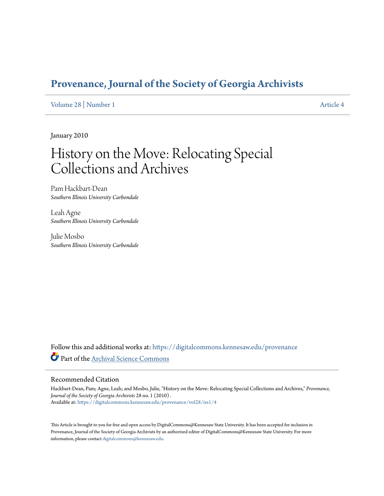# **[Provenance, Journal of the Society of Georgia Archivists](https://digitalcommons.kennesaw.edu/provenance?utm_source=digitalcommons.kennesaw.edu%2Fprovenance%2Fvol28%2Fiss1%2F4&utm_medium=PDF&utm_campaign=PDFCoverPages)**

[Volume 28](https://digitalcommons.kennesaw.edu/provenance/vol28?utm_source=digitalcommons.kennesaw.edu%2Fprovenance%2Fvol28%2Fiss1%2F4&utm_medium=PDF&utm_campaign=PDFCoverPages) | [Number 1](https://digitalcommons.kennesaw.edu/provenance/vol28/iss1?utm_source=digitalcommons.kennesaw.edu%2Fprovenance%2Fvol28%2Fiss1%2F4&utm_medium=PDF&utm_campaign=PDFCoverPages) [Article 4](https://digitalcommons.kennesaw.edu/provenance/vol28/iss1/4?utm_source=digitalcommons.kennesaw.edu%2Fprovenance%2Fvol28%2Fiss1%2F4&utm_medium=PDF&utm_campaign=PDFCoverPages)

January 2010

# History on the Move: Relocating Special Collections and Archives

Pam Hackbart-Dean *Southern Illinois University Carbondale*

Leah Agne *Southern Illinois University Carbondale*

Julie Mosbo *Southern Illinois University Carbondale*

Follow this and additional works at: [https://digitalcommons.kennesaw.edu/provenance](https://digitalcommons.kennesaw.edu/provenance?utm_source=digitalcommons.kennesaw.edu%2Fprovenance%2Fvol28%2Fiss1%2F4&utm_medium=PDF&utm_campaign=PDFCoverPages) Part of the [Archival Science Commons](http://network.bepress.com/hgg/discipline/1021?utm_source=digitalcommons.kennesaw.edu%2Fprovenance%2Fvol28%2Fiss1%2F4&utm_medium=PDF&utm_campaign=PDFCoverPages)

#### Recommended Citation

Hackbart-Dean, Pam; Agne, Leah; and Mosbo, Julie, "History on the Move: Relocating Special Collections and Archives," *Provenance, Journal of the Society of Georgia Archivists* 28 no. 1 (2010) . Available at: [https://digitalcommons.kennesaw.edu/provenance/vol28/iss1/4](https://digitalcommons.kennesaw.edu/provenance/vol28/iss1/4?utm_source=digitalcommons.kennesaw.edu%2Fprovenance%2Fvol28%2Fiss1%2F4&utm_medium=PDF&utm_campaign=PDFCoverPages)

This Article is brought to you for free and open access by DigitalCommons@Kennesaw State University. It has been accepted for inclusion in Provenance, Journal of the Society of Georgia Archivists by an authorized editor of DigitalCommons@Kennesaw State University. For more information, please contact [digitalcommons@kennesaw.edu](mailto:digitalcommons@kennesaw.edu).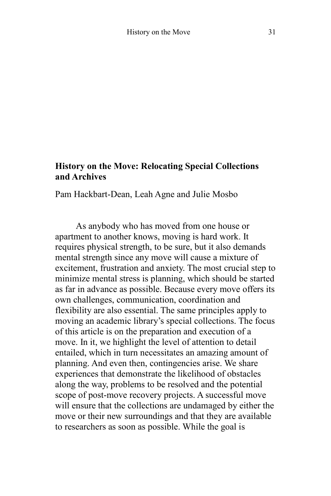#### **History on the Move: Relocating Special Collections and Archives**

Pam Hackbart-Dean, Leah Agne and Julie Mosbo

As anybody who has moved from one house or apartment to another knows, moving is hard work. It requires physical strength, to be sure, but it also demands mental strength since any move will cause a mixture of excitement, frustration and anxiety. The most crucial step to minimize mental stress is planning, which should be started as far in advance as possible. Because every move offers its own challenges, communication, coordination and flexibility are also essential. The same principles apply to moving an academic library's special collections. The focus of this article is on the preparation and execution of a move. In it, we highlight the level of attention to detail entailed, which in turn necessitates an amazing amount of planning. And even then, contingencies arise. We share experiences that demonstrate the likelihood of obstacles along the way, problems to be resolved and the potential scope of post-move recovery projects. A successful move will ensure that the collections are undamaged by either the move or their new surroundings and that they are available to researchers as soon as possible. While the goal is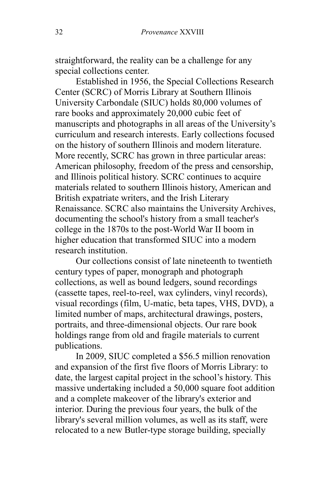straightforward, the reality can be a challenge for any special collections center.

Established in 1956, the Special Collections Research Center (SCRC) of Morris Library at Southern Illinois University Carbondale (SIUC) holds 80,000 volumes of rare books and approximately 20,000 cubic feet of manuscripts and photographs in all areas of the University's curriculum and research interests. Early collections focused on the history of southern Illinois and modern literature. More recently, SCRC has grown in three particular areas: American philosophy, freedom of the press and censorship, and Illinois political history. SCRC continues to acquire materials related to southern Illinois history, American and British expatriate writers, and the Irish Literary Renaissance. SCRC also maintains the University Archives, documenting the school's history from a small teacher's college in the 1870s to the post-World War II boom in higher education that transformed SIUC into a modern research institution.

Our collections consist of late nineteenth to twentieth century types of paper, monograph and photograph collections, as well as bound ledgers, sound recordings (cassette tapes, reel-to-reel, wax cylinders, vinyl records), visual recordings (film, U-matic, beta tapes, VHS, DVD), a limited number of maps, architectural drawings, posters, portraits, and three-dimensional objects. Our rare book holdings range from old and fragile materials to current publications.

In 2009, SIUC completed a \$56.5 million renovation and expansion of the first five floors of Morris Library: to date, the largest capital project in the school's history. This massive undertaking included a 50,000 square foot addition and a complete makeover of the library's exterior and interior. During the previous four years, the bulk of the library's several million volumes, as well as its staff, were relocated to a new Butler-type storage building, specially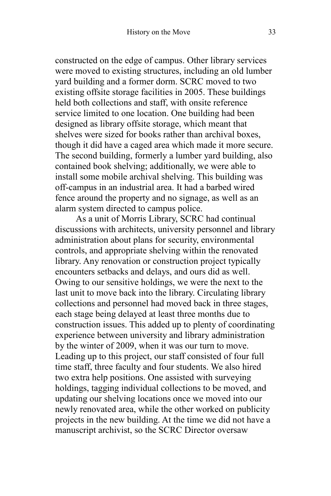constructed on the edge of campus. Other library services were moved to existing structures, including an old lumber yard building and a former dorm. SCRC moved to two existing offsite storage facilities in 2005. These buildings held both collections and staff, with onsite reference service limited to one location. One building had been designed as library offsite storage, which meant that shelves were sized for books rather than archival boxes, though it did have a caged area which made it more secure. The second building, formerly a lumber yard building, also contained book shelving; additionally, we were able to install some mobile archival shelving. This building was off-campus in an industrial area. It had a barbed wired fence around the property and no signage, as well as an alarm system directed to campus police.

As a unit of Morris Library, SCRC had continual discussions with architects, university personnel and library administration about plans for security, environmental controls, and appropriate shelving within the renovated library. Any renovation or construction project typically encounters setbacks and delays, and ours did as well. Owing to our sensitive holdings, we were the next to the last unit to move back into the library. Circulating library collections and personnel had moved back in three stages, each stage being delayed at least three months due to construction issues. This added up to plenty of coordinating experience between university and library administration by the winter of 2009, when it was our turn to move. Leading up to this project, our staff consisted of four full time staff, three faculty and four students. We also hired two extra help positions. One assisted with surveying holdings, tagging individual collections to be moved, and updating our shelving locations once we moved into our newly renovated area, while the other worked on publicity projects in the new building. At the time we did not have a manuscript archivist, so the SCRC Director oversaw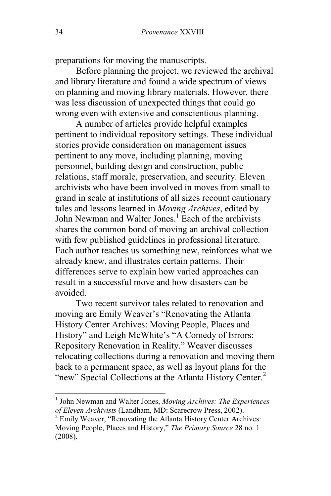preparations for moving the manuscripts.

Before planning the project, we reviewed the archival and library literature and found a wide spectrum of views on planning and moving library materials. However, there was less discussion of unexpected things that could go wrong even with extensive and conscientious planning.

A number of articles provide helpful examples pertinent to individual repository settings. These individual stories provide consideration on management issues pertinent to any move, including planning, moving personnel, building design and construction, public relations, staff morale, preservation, and security. Eleven archivists who have been involved in moves from small to grand in scale at institutions of all sizes recount cautionary tales and lessons learned in *Moving Archives*, edited by John Newman and Walter Jones.<sup>1</sup> Each of the archivists shares the common bond of moving an archival collection with few published guidelines in professional literature. Each author teaches us something new, reinforces what we already knew, and illustrates certain patterns. Their differences serve to explain how varied approaches can result in a successful move and how disasters can be avoided.

Two recent survivor tales related to renovation and moving are Emily Weaver's "Renovating the Atlanta" History Center Archives: Moving People, Places and History" and Leigh McWhite's "A Comedy of Errors: Repository Renovation in Reality." Weaver discusses relocating collections during a renovation and moving them back to a permanent space, as well as layout plans for the "new" Special Collections at the Atlanta History Center.<sup>2</sup>

 $\overline{\phantom{a}}$ 

<sup>1</sup> John Newman and Walter Jones, *Moving Archives: The Experiences of Eleven Archivists* (Landham, MD: Scarecrow Press, 2002).

 $2^{2}$  Emily Weaver, "Renovating the Atlanta History Center Archives: Moving People, Places and History," *The Primary Source* 28 no. 1 (2008).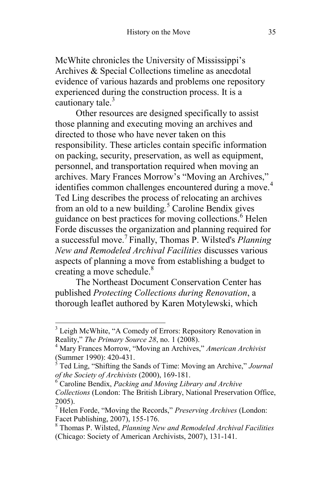McWhite chronicles the University of Mississippi's Archives & Special Collections timeline as anecdotal evidence of various hazards and problems one repository experienced during the construction process. It is a cautionary tale. $3$ 

Other resources are designed specifically to assist those planning and executing moving an archives and directed to those who have never taken on this responsibility. These articles contain specific information on packing, security, preservation, as well as equipment, personnel, and transportation required when moving an archives. Mary Frances Morrow's "Moving an Archives," identifies common challenges encountered during a move.<sup>4</sup> Ted Ling describes the process of relocating an archives from an old to a new building. $5$  Caroline Bendix gives guidance on best practices for moving collections.<sup>6</sup> Helen Forde discusses the organization and planning required for a successful move.<sup>7</sup> Finally, Thomas P. Wilsted's *Planning New and Remodeled Archival Facilities* discusses various aspects of planning a move from establishing a budget to creating a move schedule. $8<sup>8</sup>$ 

The Northeast Document Conservation Center has published *Protecting Collections during Renovation*, a thorough leaflet authored by Karen Motylewski, which

l

<sup>&</sup>lt;sup>3</sup> Leigh McWhite, "A Comedy of Errors: Repository Renovation in Reality," *The Primary Source 28*, no. 1 (2008).

<sup>&</sup>lt;sup>4</sup> Mary Frances Morrow, "Moving an Archives," *American Archivist* (Summer 1990): 420-431.

 $\frac{3}{5}$  Ted Ling, "Shifting the Sands of Time: Moving an Archive," *Journal of the Society of Archivists* (2000), 169-181.

<sup>6</sup> Caroline Bendix, *Packing and Moving Library and Archive Collections* (London: The British Library, National Preservation Office, 2005).

<sup>&</sup>lt;sup>7</sup> Helen Forde, "Moving the Records," *Preserving Archives* (London: Facet Publishing, 2007), 155-176.

<sup>8</sup> Thomas P. Wilsted, *Planning New and Remodeled Archival Facilities* (Chicago: Society of American Archivists, 2007), 131-141.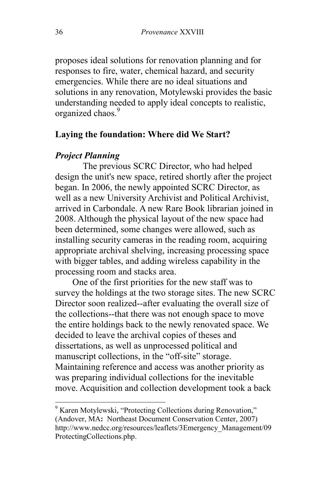proposes ideal solutions for renovation planning and for responses to fire, water, chemical hazard, and security emergencies. While there are no ideal situations and solutions in any renovation, Motylewski provides the basic understanding needed to apply ideal concepts to realistic, organized chaos.<sup>9</sup>

#### **Laying the foundation: Where did We Start?**

#### *Project Planning*

The previous SCRC Director, who had helped design the unit's new space, retired shortly after the project began. In 2006, the newly appointed SCRC Director, as well as a new University Archivist and Political Archivist, arrived in Carbondale. A new Rare Book librarian joined in 2008. Although the physical layout of the new space had been determined, some changes were allowed, such as installing security cameras in the reading room, acquiring appropriate archival shelving, increasing processing space with bigger tables, and adding wireless capability in the processing room and stacks area.

One of the first priorities for the new staff was to survey the holdings at the two storage sites. The new SCRC Director soon realized--after evaluating the overall size of the collections--that there was not enough space to move the entire holdings back to the newly renovated space. We decided to leave the archival copies of theses and dissertations, as well as unprocessed political and manuscript collections, in the "off-site" storage. Maintaining reference and access was another priority as was preparing individual collections for the inevitable move. Acquisition and collection development took a back

 $\overline{\phantom{a}}$ 

<sup>&</sup>lt;sup>9</sup> Karen Motylewski, "Protecting Collections during Renovation," (Andover, MA**:** Northeast Document Conservation Center, 2007) http://www.nedcc.org/resources/leaflets/3Emergency\_Management/09 ProtectingCollections.php.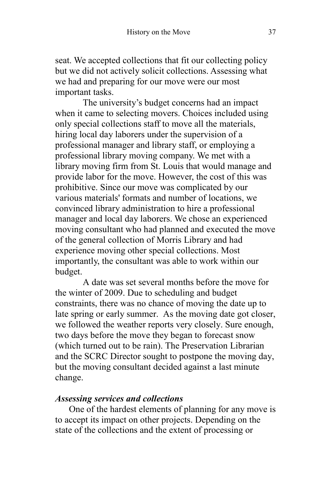seat. We accepted collections that fit our collecting policy but we did not actively solicit collections. Assessing what we had and preparing for our move were our most important tasks.

The university's budget concerns had an impact when it came to selecting movers. Choices included using only special collections staff to move all the materials, hiring local day laborers under the supervision of a professional manager and library staff, or employing a professional library moving company. We met with a library moving firm from St. Louis that would manage and provide labor for the move. However, the cost of this was prohibitive. Since our move was complicated by our various materials' formats and number of locations, we convinced library administration to hire a professional manager and local day laborers. We chose an experienced moving consultant who had planned and executed the move of the general collection of Morris Library and had experience moving other special collections. Most importantly, the consultant was able to work within our budget.

A date was set several months before the move for the winter of 2009. Due to scheduling and budget constraints, there was no chance of moving the date up to late spring or early summer. As the moving date got closer, we followed the weather reports very closely. Sure enough, two days before the move they began to forecast snow (which turned out to be rain). The Preservation Librarian and the SCRC Director sought to postpone the moving day, but the moving consultant decided against a last minute change.

#### *Assessing services and collections*

One of the hardest elements of planning for any move is to accept its impact on other projects. Depending on the state of the collections and the extent of processing or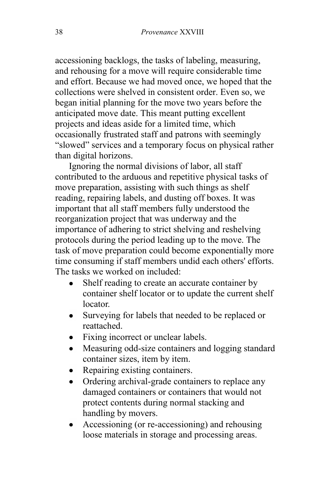accessioning backlogs, the tasks of labeling, measuring, and rehousing for a move will require considerable time and effort. Because we had moved once, we hoped that the collections were shelved in consistent order. Even so, we began initial planning for the move two years before the anticipated move date. This meant putting excellent projects and ideas aside for a limited time, which occasionally frustrated staff and patrons with seemingly "slowed" services and a temporary focus on physical rather than digital horizons.

Ignoring the normal divisions of labor, all staff contributed to the arduous and repetitive physical tasks of move preparation, assisting with such things as shelf reading, repairing labels, and dusting off boxes. It was important that all staff members fully understood the reorganization project that was underway and the importance of adhering to strict shelving and reshelving protocols during the period leading up to the move. The task of move preparation could become exponentially more time consuming if staff members undid each others' efforts. The tasks we worked on included:

- $\bullet$ Shelf reading to create an accurate container by container shelf locator or to update the current shelf locator.
- $\bullet$ Surveying for labels that needed to be replaced or reattached.
- Fixing incorrect or unclear labels.
- Measuring odd-size containers and logging standard  $\bullet$ container sizes, item by item.
- Repairing existing containers.
- Ordering archival-grade containers to replace any  $\bullet$ damaged containers or containers that would not protect contents during normal stacking and handling by movers.
- Accessioning (or re-accessioning) and rehousing  $\bullet$ loose materials in storage and processing areas.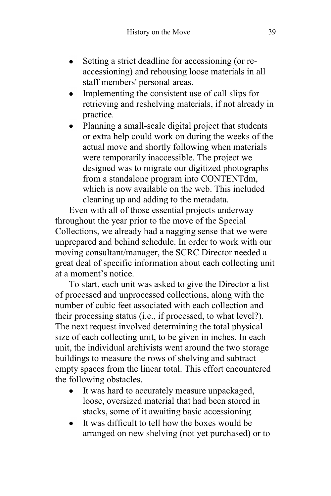- Setting a strict deadline for accessioning (or reaccessioning) and rehousing loose materials in all staff members' personal areas.
- Implementing the consistent use of call slips for retrieving and reshelving materials, if not already in practice.
- Planning a small-scale digital project that students or extra help could work on during the weeks of the actual move and shortly following when materials were temporarily inaccessible. The project we designed was to migrate our digitized photographs from a standalone program into CONTENTdm, which is now available on the web. This included cleaning up and adding to the metadata.

Even with all of those essential projects underway throughout the year prior to the move of the Special Collections, we already had a nagging sense that we were unprepared and behind schedule. In order to work with our moving consultant/manager, the SCRC Director needed a great deal of specific information about each collecting unit at a moment's notice.

To start, each unit was asked to give the Director a list of processed and unprocessed collections, along with the number of cubic feet associated with each collection and their processing status (i.e., if processed, to what level?). The next request involved determining the total physical size of each collecting unit, to be given in inches. In each unit, the individual archivists went around the two storage buildings to measure the rows of shelving and subtract empty spaces from the linear total. This effort encountered the following obstacles.

- It was hard to accurately measure unpackaged, loose, oversized material that had been stored in stacks, some of it awaiting basic accessioning.
- It was difficult to tell how the boxes would be  $\bullet$ arranged on new shelving (not yet purchased) or to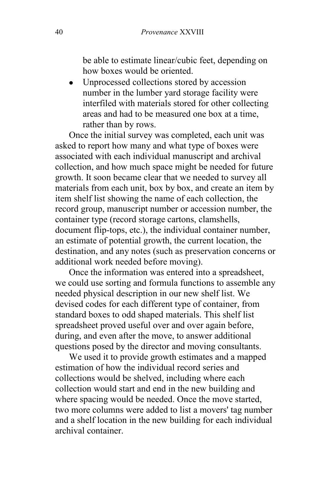be able to estimate linear/cubic feet, depending on how boxes would be oriented.

Unprocessed collections stored by accession  $\bullet$ number in the lumber yard storage facility were interfiled with materials stored for other collecting areas and had to be measured one box at a time, rather than by rows.

Once the initial survey was completed, each unit was asked to report how many and what type of boxes were associated with each individual manuscript and archival collection, and how much space might be needed for future growth. It soon became clear that we needed to survey all materials from each unit, box by box, and create an item by item shelf list showing the name of each collection, the record group, manuscript number or accession number, the container type (record storage cartons, clamshells, document flip-tops, etc.), the individual container number, an estimate of potential growth, the current location, the destination, and any notes (such as preservation concerns or additional work needed before moving).

Once the information was entered into a spreadsheet, we could use sorting and formula functions to assemble any needed physical description in our new shelf list. We devised codes for each different type of container, from standard boxes to odd shaped materials. This shelf list spreadsheet proved useful over and over again before, during, and even after the move, to answer additional questions posed by the director and moving consultants.

We used it to provide growth estimates and a mapped estimation of how the individual record series and collections would be shelved, including where each collection would start and end in the new building and where spacing would be needed. Once the move started, two more columns were added to list a movers' tag number and a shelf location in the new building for each individual archival container.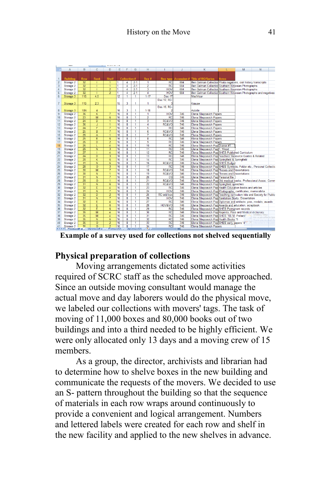|                 | A                                    | в                | c.                      | D                   | E  | F                       | G              | н                  |                        | J.  | K                                                                     | м | N |  |
|-----------------|--------------------------------------|------------------|-------------------------|---------------------|----|-------------------------|----------------|--------------------|------------------------|-----|-----------------------------------------------------------------------|---|---|--|
| 1               | <b>Building</b>                      | Row              | <b>Bank</b>             | Shelf               |    | Collection #            |                | Box #              |                        |     | Box type Accession # Title of RG/Series                               |   |   |  |
| $\overline{2}$  | Storage 2                            | $\overline{32}$  |                         | $\overline{1}$      | 1  | 4                       | $2-1$          | Ŧ                  | <b>RC</b>              | 684 | Ben Gelman Collection Photo negatives, oral history transcripts       |   |   |  |
| $\overline{3}$  | Storage 2                            | $\overline{32}$  | T.                      | $\overline{1}$      | ī  | 4                       | $2-1$          | $\overline{2}$     | RC                     | 684 | Ben Gelman Collection Southern Illinoisian Photographs                |   |   |  |
| $\overline{4}$  | Storage 2                            | $\overline{32}$  | T                       | $\overline{2}$      | ī  | 4                       | $2 - 1$        | 3                  | <b>HOV</b>             | 684 | Ben Gelman Collection Southern Illinoisian Photographs                |   |   |  |
| $\overline{5}$  | Storage 2                            | $\overline{32}$  | т                       | $\overline{2}$      | Ŧ  | $\overline{4}$          | $2 - 1$        | $\overline{4}$     | <b>HOV</b>             | 684 | Ben Gelman Collection Southern Illinoisian Photographs and negatives  |   |   |  |
| $\overline{6}$  | Storage 3                            | $\overline{11S}$ | 4.5                     |                     | 12 | 1                       | Ŧ              | $1 - 17$           | Doc-17                 |     | MacVicar                                                              |   |   |  |
| 7               | Storage 3                            | <b>11S</b>       | 2.3                     |                     | 15 | 3                       | 1              | 1                  | Doc-12, RC-            |     | Krause                                                                |   |   |  |
|                 |                                      |                  |                         |                     |    |                         |                |                    | Doc-16, RC-            |     |                                                                       |   |   |  |
| 8               | Storage 3                            | <b>10N</b>       | 4                       |                     | 16 | 3                       | 1              | $1-18$             |                        |     | <b>Axtelle</b>                                                        |   |   |  |
| 9               | Storage 2                            | 36               | $\overline{\mathsf{k}}$ | $\overline{7}$      | 16 | 8                       | Ŧ              | Ŧ                  | <b>HOV</b>             | 746 | Elena Sliepcevich Papers                                              |   |   |  |
| 10              | Storage 2                            | $\overline{23}$  | M                       | $\overline{6}$      | 16 | 8                       | Ŧ              | $\overline{2}$     | <b>RC</b>              | 746 | Elena Sliepcevich Papers                                              |   |   |  |
| 11              | Storage 2                            | $\overline{24}$  | $\overline{\mathsf{D}}$ | $\overline{1}$      | 16 | $\overline{\mathbf{8}}$ | Ŧ              | 3                  | <b>RC&amp;VO</b>       | 746 | Elena Sliepcevich Papers                                              |   |   |  |
| 12              | Storage 2                            | $\overline{36}$  | J                       | $\overline{1}$      | 16 |                         | Ŧ              | $\overline{4}$     | RC&VO                  | 746 | Elena Sliepcevich Papers                                              |   |   |  |
| 13              | Storage 2                            | $\overline{24}$  | F                       | 7                   | 16 | 8                       | Ŧ              | 5                  | <b>RC</b>              | 746 | Elena Sliepcevich Papers                                              |   |   |  |
| 14              | Storage 2                            | $\overline{25}$  | $\overline{B}$          | 7                   | 16 | 8                       | Ŧ              | $\overline{6}$     | RC&VO                  | 746 | Elena Sliepcevich Papers                                              |   |   |  |
| 15              | Storage 2                            | $\overline{26}$  | Ā                       | $\overline{1}$      | 16 | s.                      | Ŧ              | 7                  | RC&VO                  | 746 | Elena Sliepcevich Papers                                              |   |   |  |
| 16              | Storage 2                            | $\overline{25}$  | Ē                       | $\overline{6}$      | 16 |                         | $\overline{1}$ | $\overline{\bf 8}$ | RC                     | 746 | <b>Elena Sliepcevich Papers</b>                                       |   |   |  |
| 17              | Storage 2                            | $\overline{26}$  | $\overline{D}$          | $\overline{2}$      | 16 |                         | Ŧ              | 9                  | RC                     | 746 | Elena Sliepcevich Papers                                              |   |   |  |
| 18              | Storage 2                            | $\overline{26}$  | г                       | $\overline{4}$      | 16 | 8                       | Ŧ              | 10                 | <b>RC</b>              | 746 | Elena Sliepcevich Pap Drawer #1                                       |   |   |  |
| 19              | Storage 2                            | 26               | $\overline{N}$          |                     | 16 | s                       | Ŧ              | $\overline{11}$    | <b>RC</b>              | 746 | Elena Sliepcevich PapIT. Wood                                         |   |   |  |
| $\overline{20}$ | Storage 2                            | $\overline{27}$  | т                       | 4                   | 16 | $\overline{\mathbf{8}}$ | $\overline{1}$ | $\overline{12}$    | <b>RC</b>              | 746 | Elena Sliepcevich Pap SHES Published Curriculum                       |   |   |  |
| 21              | Storage 2                            | $\overline{24}$  | $\overline{D}$          |                     | 16 | 8                       | Ŧ              | $\overline{13}$    | RC                     | 746 | Elena Sliepcevich Pap Teachers' Resource Guides & Related             |   |   |  |
| 22              | Storage 2                            | $\overline{28}$  | $\overline{\mathsf{k}}$ | $\overline{6}$      | 16 | 8                       | т              | 14                 | RC                     | 746 | Elena Sliepcevich Pap Springfield & Springfield                       |   |   |  |
| 23              | Storage 2                            | $\overline{31}$  | Ñ                       | $\overline{6}$      | 16 | s.                      | Ŧ              | 16                 | <b>RC&amp;VO</b>       | 746 | Elena Sliepcevich Pap SHES Budget                                     |   |   |  |
| $\overline{24}$ | Storage 2                            | $\overline{28}$  | $\overline{\circ}$      |                     | 16 | $\overline{\mathbf{8}}$ | Ŧ              | $\overline{17}$    | <b>RC</b>              | 746 | Elena Sliepcevich Pap SHES Symbols, Folder etc., Personal Collectio   |   |   |  |
| 25              | Storage 2                            | $\overline{30}$  | M                       | 7                   | 16 | $\overline{\mathbf{a}}$ | $\overline{1}$ | 18                 | RC&VO                  | 746 | Elena Sliepcevich Pap Theses and Dissertations                        |   |   |  |
| 26              | Storage 2                            | $\overline{30}$  | $\overline{\mathsf{N}}$ | $\overline{1}$      | 16 | g                       | Ŧ              | 19                 | RC&VO                  | 746 | Elena Sliepcevich Pap Theses and Dissertations                        |   |   |  |
| 27              | Storage 2                            | $\overline{31}$  | Ñ                       | 7                   | 16 | 8                       | 1              | 20                 | $\overline{\text{cs}}$ | 746 | Elena Sliepcevich Pap Personal file                                   |   |   |  |
| 28              | Storage 2                            | 28               | $\overline{\circ}$      | $\overline{1}$      | 16 | s.                      | Ŧ              | $\overline{21}$    | RC&VO                  | 746 | Elena Sliepcevich Pap Old medical books, Professional Assoc, Comm     |   |   |  |
| 29              |                                      | $\overline{31}$  | Ñ                       | $\overline{6}$      | 16 | $\overline{\mathbf{8}}$ | $\overline{1}$ | $\overline{22}$    | RC&VO                  | 746 | Elena Sliepcevich Pap Springfield speeches                            |   |   |  |
| 30              | Storage 2                            | $\overline{32}$  | Ē                       | $\overline{4}$      | 16 | 8                       | Ŧ              | $\overline{23}$    | RC                     | 746 | Elena Sliepcevich Pap Health Education books and articles             |   |   |  |
|                 | Storage 2                            | $\overline{31}$  | $\overline{\mathsf{N}}$ |                     | 16 |                         |                | 24                 |                        |     |                                                                       |   |   |  |
| 31              | Storage 2                            |                  | $\overline{\mathsf{D}}$ | 7                   |    | 8                       | Ŧ              |                    | <b>HOV</b>             | 746 | Elena Sliepcevich Pap Photographs, certificates, memorabilia          |   |   |  |
| 32              | Storage 2                            | 32               |                         | $\overline{2}$      | 16 | s.                      | Ŧ              | 25                 | RC-odd box             | 746 | Elena Sliepcevich Pap Teaching curriculum kits and Society for Public |   |   |  |
| 33              | Storage 2                            | $\overline{31}$  | $\overline{N}$          | 7                   | 16 | $\overline{\mathbf{8}}$ | $\overline{1}$ | 26                 | <b>HOV</b>             | 746 | Elena Sliepcevich Pap Sanitation Study, Dissertation                  |   |   |  |
| 34              | Storage 2                            | $\overline{32}$  | E                       | $\overline{4}$      | 16 |                         | Ŧ              | $\overline{27}$    | RC                     | 746 | Elena Sliepcevich Papi Diplomas and artifacts: pins, medals, awards   |   |   |  |
| 35              | Storage 2                            | $\overline{32}$  | Ē                       | $\overline{6}$      | 16 | 8                       | Ŧ              | 28                 | <b>HOV&amp;VO</b>      | 746 | Elena Sliepcevich Pap Awards and education, scrapbook                 |   |   |  |
| 36              | Storage 2                            | $\overline{32}$  | Ē                       | $\overline{6}$      | 16 | s                       | Ŧ              | 29                 | <b>RC</b>              | 746 | Elena Sliepcevich Pap SHES Permanent records                          |   |   |  |
| 37              | Storage 2                            | $\overline{35}$  | $\overline{M}$          | $\overline{4}$      | 16 | $\overline{\mathbf{8}}$ | Ŧ              | 30                 | <b>RC</b>              | 746 | Elena Sliepcevich Pap Reprints, Files and Medical dictionary          |   |   |  |
| 38              | Storage 2                            | $\overline{35}$  | $\overline{M}$          | $\overline{4}$      | 16 | $\overline{\mathbf{8}}$ | $\overline{1}$ | $\overline{31}$    | RC                     | 746 | Elena Sliepcevich Pap SHES "10- M. Pollack"                           |   |   |  |
| 39              | Storage 2                            | $\overline{35}$  | $\overline{N}$          | 6                   | 16 | 8                       | Ŧ              | $\overline{32}$    | RC                     | 746 | Elena Sliepcevich Pap Health Books *5                                 |   |   |  |
| 40              | Storage 2                            | 35               | $\overline{\circ}$      | $\overline{2}$      | 16 | 8                       | т              | $\overline{33}$    | RC                     | 746 | Elena Sliepcevich Pap SHES early papers '4"                           |   |   |  |
| 41              | Storage 2                            | $\overline{35}$  | $\overline{\circ}$      | $\overline{2}$      | 16 | s.                      | 1              | 34                 | RC                     | 746 | Elena Sliepcevich Papers                                              |   |   |  |
|                 | ICCE H ProcessedFac / UnprocessedFac |                  |                         | <b>Processed UA</b> |    |                         | Unprocessed UA | $\bullet$ .        |                        |     |                                                                       |   |   |  |

**Example of a survey used for collections not shelved sequentially**

#### **Physical preparation of collections**

Moving arrangements dictated some activities required of SCRC staff as the scheduled move approached. Since an outside moving consultant would manage the actual move and day laborers would do the physical move, we labeled our collections with movers' tags. The task of moving of 11,000 boxes and 80,000 books out of two buildings and into a third needed to be highly efficient. We were only allocated only 13 days and a moving crew of 15 members.

As a group, the director, archivists and librarian had to determine how to shelve boxes in the new building and communicate the requests of the movers. We decided to use an S- pattern throughout the building so that the sequence of materials in each row wraps around continuously to provide a convenient and logical arrangement. Numbers and lettered labels were created for each row and shelf in the new facility and applied to the new shelves in advance.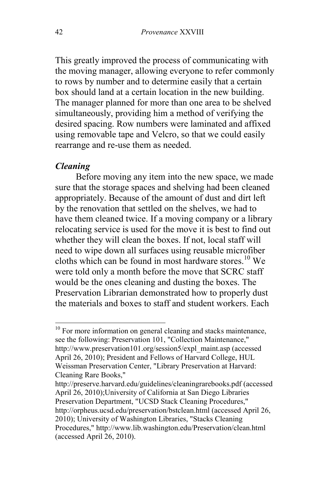This greatly improved the process of communicating with the moving manager, allowing everyone to refer commonly to rows by number and to determine easily that a certain box should land at a certain location in the new building. The manager planned for more than one area to be shelved simultaneously, providing him a method of verifying the desired spacing. Row numbers were laminated and affixed using removable tape and Velcro, so that we could easily rearrange and re-use them as needed.

#### *Cleaning*

l

Before moving any item into the new space, we made sure that the storage spaces and shelving had been cleaned appropriately. Because of the amount of dust and dirt left by the renovation that settled on the shelves, we had to have them cleaned twice. If a moving company or a library relocating service is used for the move it is best to find out whether they will clean the boxes. If not, local staff will need to wipe down all surfaces using reusable microfiber cloths which can be found in most hardware stores.<sup>10</sup> We were told only a month before the move that SCRC staff would be the ones cleaning and dusting the boxes. The Preservation Librarian demonstrated how to properly dust the materials and boxes to staff and student workers. Each

http://preserve.harvard.edu/guidelines/cleaningrarebooks.pdf (accessed April 26, 2010);University of California at San Diego Libraries Preservation Department, "UCSD Stack Cleaning Procedures," http://orpheus.ucsd.edu/preservation/bstclean.html (accessed April 26, 2010); University of Washington Libraries, "Stacks Cleaning Procedures," http://www.lib.washington.edu/Preservation/clean.html (accessed April 26, 2010).

 $10$  For more information on general cleaning and stacks maintenance, see the following: Preservation 101, "Collection Maintenance," http://www.preservation101.org/session5/expl\_maint.asp (accessed April 26, 2010); President and Fellows of Harvard College, HUL Weissman Preservation Center, "Library Preservation at Harvard: Cleaning Rare Books,"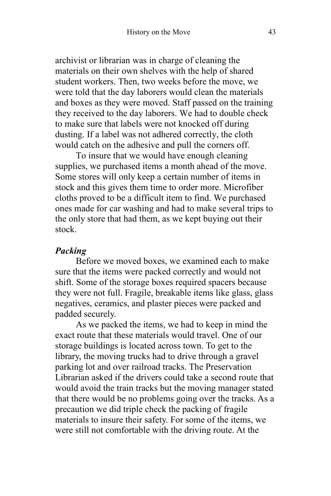archivist or librarian was in charge of cleaning the materials on their own shelves with the help of shared student workers. Then, two weeks before the move, we were told that the day laborers would clean the materials and boxes as they were moved. Staff passed on the training they received to the day laborers. We had to double check to make sure that labels were not knocked off during dusting. If a label was not adhered correctly, the cloth would catch on the adhesive and pull the corners off.

To insure that we would have enough cleaning supplies, we purchased items a month ahead of the move. Some stores will only keep a certain number of items in stock and this gives them time to order more. Microfiber cloths proved to be a difficult item to find. We purchased ones made for car washing and had to make several trips to the only store that had them, as we kept buying out their stock.

#### *Packing*

Before we moved boxes, we examined each to make sure that the items were packed correctly and would not shift. Some of the storage boxes required spacers because they were not full. Fragile, breakable items like glass, glass negatives, ceramics, and plaster pieces were packed and padded securely.

As we packed the items, we had to keep in mind the exact route that these materials would travel. One of our storage buildings is located across town. To get to the library, the moving trucks had to drive through a gravel parking lot and over railroad tracks. The Preservation Librarian asked if the drivers could take a second route that would avoid the train tracks but the moving manager stated that there would be no problems going over the tracks. As a precaution we did triple check the packing of fragile materials to insure their safety. For some of the items, we were still not comfortable with the driving route. At the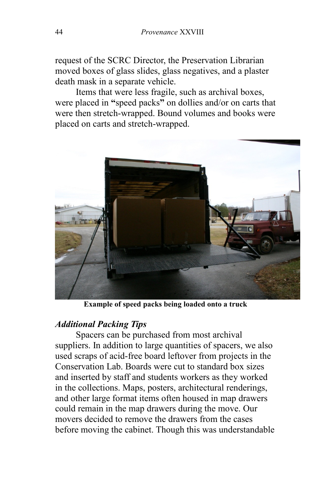request of the SCRC Director, the Preservation Librarian moved boxes of glass slides, glass negatives, and a plaster death mask in a separate vehicle.

Items that were less fragile, such as archival boxes, were placed in **"**speed packs**"** on dollies and/or on carts that were then stretch-wrapped. Bound volumes and books were placed on carts and stretch-wrapped.



**Example of speed packs being loaded onto a truck**

#### *Additional Packing Tips*

Spacers can be purchased from most archival suppliers. In addition to large quantities of spacers, we also used scraps of acid-free board leftover from projects in the Conservation Lab. Boards were cut to standard box sizes and inserted by staff and students workers as they worked in the collections. Maps, posters, architectural renderings, and other large format items often housed in map drawers could remain in the map drawers during the move. Our movers decided to remove the drawers from the cases before moving the cabinet. Though this was understandable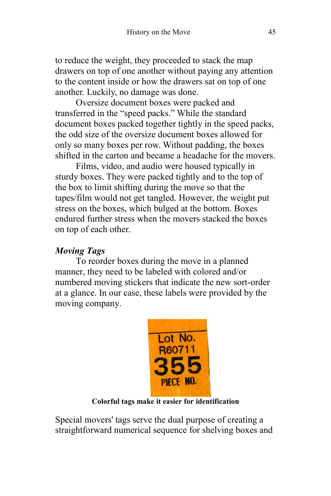to reduce the weight, they proceeded to stack the map drawers on top of one another without paying any attention to the content inside or how the drawers sat on top of one another. Luckily, no damage was done.

Oversize document boxes were packed and transferred in the "speed packs." While the standard document boxes packed together tightly in the speed packs, the odd size of the oversize document boxes allowed for only so many boxes per row. Without padding, the boxes shifted in the carton and became a headache for the movers.

Films, video, and audio were housed typically in sturdy boxes. They were packed tightly and to the top of the box to limit shifting during the move so that the tapes/film would not get tangled. However, the weight put stress on the boxes, which bulged at the bottom. Boxes endured further stress when the movers stacked the boxes on top of each other.

# *Moving Tags*

To reorder boxes during the move in a planned manner, they need to be labeled with colored and/or numbered moving stickers that indicate the new sort-order at a glance. In our case, these labels were provided by the moving company.



**Colorful tags make it easier for identification**

Special movers' tags serve the dual purpose of creating a straightforward numerical sequence for shelving boxes and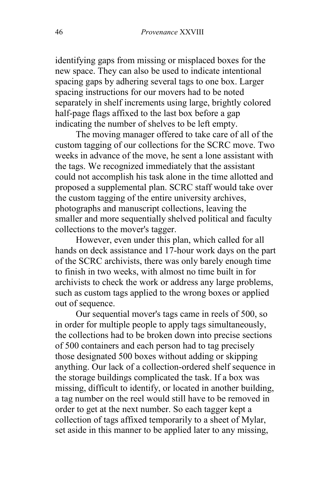identifying gaps from missing or misplaced boxes for the new space. They can also be used to indicate intentional spacing gaps by adhering several tags to one box. Larger spacing instructions for our movers had to be noted separately in shelf increments using large, brightly colored half-page flags affixed to the last box before a gap indicating the number of shelves to be left empty.

The moving manager offered to take care of all of the custom tagging of our collections for the SCRC move. Two weeks in advance of the move, he sent a lone assistant with the tags. We recognized immediately that the assistant could not accomplish his task alone in the time allotted and proposed a supplemental plan. SCRC staff would take over the custom tagging of the entire university archives, photographs and manuscript collections, leaving the smaller and more sequentially shelved political and faculty collections to the mover's tagger.

However, even under this plan, which called for all hands on deck assistance and 17-hour work days on the part of the SCRC archivists, there was only barely enough time to finish in two weeks, with almost no time built in for archivists to check the work or address any large problems, such as custom tags applied to the wrong boxes or applied out of sequence.

Our sequential mover's tags came in reels of 500, so in order for multiple people to apply tags simultaneously, the collections had to be broken down into precise sections of 500 containers and each person had to tag precisely those designated 500 boxes without adding or skipping anything. Our lack of a collection-ordered shelf sequence in the storage buildings complicated the task. If a box was missing, difficult to identify, or located in another building, a tag number on the reel would still have to be removed in order to get at the next number. So each tagger kept a collection of tags affixed temporarily to a sheet of Mylar, set aside in this manner to be applied later to any missing,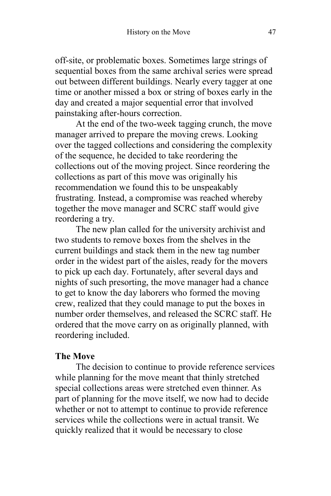off-site, or problematic boxes. Sometimes large strings of sequential boxes from the same archival series were spread out between different buildings. Nearly every tagger at one time or another missed a box or string of boxes early in the day and created a major sequential error that involved painstaking after-hours correction.

At the end of the two-week tagging crunch, the move manager arrived to prepare the moving crews. Looking over the tagged collections and considering the complexity of the sequence, he decided to take reordering the collections out of the moving project. Since reordering the collections as part of this move was originally his recommendation we found this to be unspeakably frustrating. Instead, a compromise was reached whereby together the move manager and SCRC staff would give reordering a try.

The new plan called for the university archivist and two students to remove boxes from the shelves in the current buildings and stack them in the new tag number order in the widest part of the aisles, ready for the movers to pick up each day. Fortunately, after several days and nights of such presorting, the move manager had a chance to get to know the day laborers who formed the moving crew, realized that they could manage to put the boxes in number order themselves, and released the SCRC staff. He ordered that the move carry on as originally planned, with reordering included.

#### **The Move**

The decision to continue to provide reference services while planning for the move meant that thinly stretched special collections areas were stretched even thinner. As part of planning for the move itself, we now had to decide whether or not to attempt to continue to provide reference services while the collections were in actual transit. We quickly realized that it would be necessary to close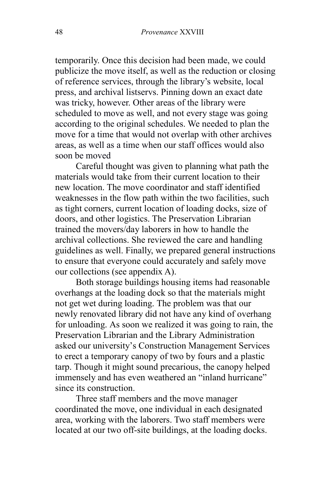temporarily. Once this decision had been made, we could publicize the move itself, as well as the reduction or closing of reference services, through the library's website, local press, and archival listservs. Pinning down an exact date was tricky, however. Other areas of the library were scheduled to move as well, and not every stage was going according to the original schedules. We needed to plan the move for a time that would not overlap with other archives areas, as well as a time when our staff offices would also soon be moved

Careful thought was given to planning what path the materials would take from their current location to their new location. The move coordinator and staff identified weaknesses in the flow path within the two facilities, such as tight corners, current location of loading docks, size of doors, and other logistics. The Preservation Librarian trained the movers/day laborers in how to handle the archival collections. She reviewed the care and handling guidelines as well. Finally, we prepared general instructions to ensure that everyone could accurately and safely move our collections (see appendix A).

Both storage buildings housing items had reasonable overhangs at the loading dock so that the materials might not get wet during loading. The problem was that our newly renovated library did not have any kind of overhang for unloading. As soon we realized it was going to rain, the Preservation Librarian and the Library Administration asked our university's Construction Management Services to erect a temporary canopy of two by fours and a plastic tarp. Though it might sound precarious, the canopy helped immensely and has even weathered an "inland hurricane" since its construction.

Three staff members and the move manager coordinated the move, one individual in each designated area, working with the laborers. Two staff members were located at our two off-site buildings, at the loading docks.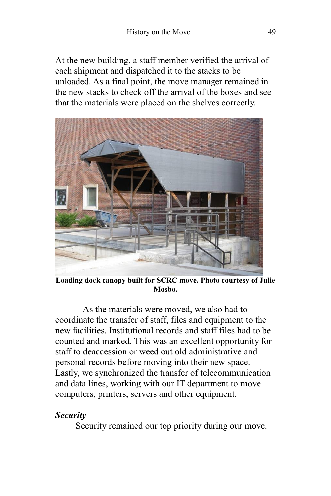At the new building, a staff member verified the arrival of each shipment and dispatched it to the stacks to be unloaded. As a final point, the move manager remained in the new stacks to check off the arrival of the boxes and see that the materials were placed on the shelves correctly.



**Loading dock canopy built for SCRC move. Photo courtesy of Julie Mosbo.**

As the materials were moved, we also had to coordinate the transfer of staff, files and equipment to the new facilities. Institutional records and staff files had to be counted and marked. This was an excellent opportunity for staff to deaccession or weed out old administrative and personal records before moving into their new space. Lastly, we synchronized the transfer of telecommunication and data lines, working with our IT department to move computers, printers, servers and other equipment.

#### *Security*

Security remained our top priority during our move.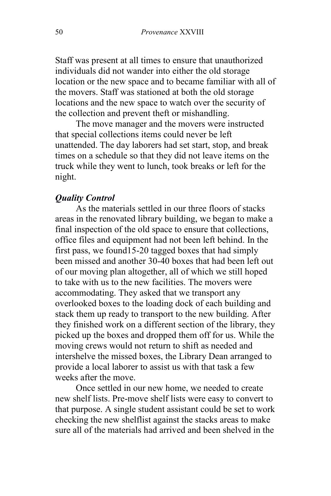Staff was present at all times to ensure that unauthorized individuals did not wander into either the old storage location or the new space and to became familiar with all of the movers. Staff was stationed at both the old storage locations and the new space to watch over the security of the collection and prevent theft or mishandling.

The move manager and the movers were instructed that special collections items could never be left unattended. The day laborers had set start, stop, and break times on a schedule so that they did not leave items on the truck while they went to lunch, took breaks or left for the night.

#### *Quality Control*

As the materials settled in our three floors of stacks areas in the renovated library building, we began to make a final inspection of the old space to ensure that collections, office files and equipment had not been left behind. In the first pass, we found15-20 tagged boxes that had simply been missed and another 30-40 boxes that had been left out of our moving plan altogether, all of which we still hoped to take with us to the new facilities. The movers were accommodating. They asked that we transport any overlooked boxes to the loading dock of each building and stack them up ready to transport to the new building. After they finished work on a different section of the library, they picked up the boxes and dropped them off for us. While the moving crews would not return to shift as needed and intershelve the missed boxes, the Library Dean arranged to provide a local laborer to assist us with that task a few weeks after the move.

Once settled in our new home, we needed to create new shelf lists. Pre-move shelf lists were easy to convert to that purpose. A single student assistant could be set to work checking the new shelflist against the stacks areas to make sure all of the materials had arrived and been shelved in the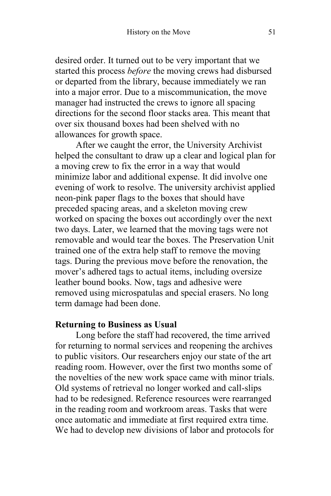desired order. It turned out to be very important that we started this process *before* the moving crews had disbursed or departed from the library, because immediately we ran into a major error. Due to a miscommunication, the move manager had instructed the crews to ignore all spacing directions for the second floor stacks area. This meant that over six thousand boxes had been shelved with no allowances for growth space.

After we caught the error, the University Archivist helped the consultant to draw up a clear and logical plan for a moving crew to fix the error in a way that would minimize labor and additional expense. It did involve one evening of work to resolve. The university archivist applied neon-pink paper flags to the boxes that should have preceded spacing areas, and a skeleton moving crew worked on spacing the boxes out accordingly over the next two days. Later, we learned that the moving tags were not removable and would tear the boxes. The Preservation Unit trained one of the extra help staff to remove the moving tags. During the previous move before the renovation, the mover's adhered tags to actual items, including oversize leather bound books. Now, tags and adhesive were removed using microspatulas and special erasers. No long term damage had been done.

#### **Returning to Business as Usual**

Long before the staff had recovered, the time arrived for returning to normal services and reopening the archives to public visitors. Our researchers enjoy our state of the art reading room. However, over the first two months some of the novelties of the new work space came with minor trials. Old systems of retrieval no longer worked and call-slips had to be redesigned. Reference resources were rearranged in the reading room and workroom areas. Tasks that were once automatic and immediate at first required extra time. We had to develop new divisions of labor and protocols for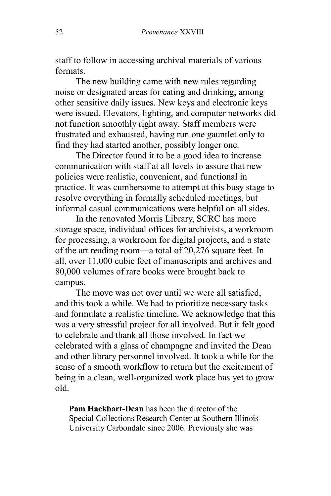staff to follow in accessing archival materials of various formats.

The new building came with new rules regarding noise or designated areas for eating and drinking, among other sensitive daily issues. New keys and electronic keys were issued. Elevators, lighting, and computer networks did not function smoothly right away. Staff members were frustrated and exhausted, having run one gauntlet only to find they had started another, possibly longer one.

The Director found it to be a good idea to increase communication with staff at all levels to assure that new policies were realistic, convenient, and functional in practice. It was cumbersome to attempt at this busy stage to resolve everything in formally scheduled meetings, but informal casual communications were helpful on all sides.

In the renovated Morris Library, SCRC has more storage space, individual offices for archivists, a workroom for processing, a workroom for digital projects, and a state of the art reading room―a total of 20,276 square feet. In all, over 11,000 cubic feet of manuscripts and archives and 80,000 volumes of rare books were brought back to campus.

The move was not over until we were all satisfied, and this took a while. We had to prioritize necessary tasks and formulate a realistic timeline. We acknowledge that this was a very stressful project for all involved. But it felt good to celebrate and thank all those involved. In fact we celebrated with a glass of champagne and invited the Dean and other library personnel involved. It took a while for the sense of a smooth workflow to return but the excitement of being in a clean, well-organized work place has yet to grow old.

**Pam Hackbart-Dean** has been the director of the Special Collections Research Center at Southern Illinois University Carbondale since 2006. Previously she was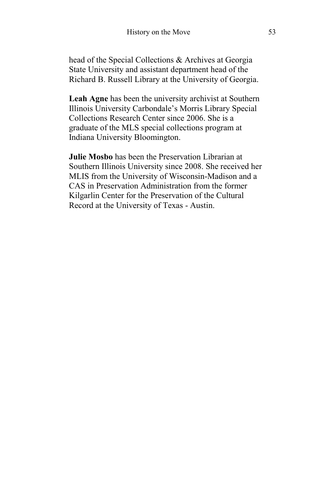head of the Special Collections & Archives at Georgia State University and assistant department head of the Richard B. Russell Library at the University of Georgia.

**Leah Agne** has been the university archivist at Southern Illinois University Carbondale's Morris Library Special Collections Research Center since 2006. She is a graduate of the MLS special collections program at Indiana University Bloomington.

**Julie Mosbo** has been the Preservation Librarian at Southern Illinois University since 2008. She received her MLIS from the University of Wisconsin-Madison and a CAS in Preservation Administration from the former Kilgarlin Center for the Preservation of the Cultural Record at the University of Texas - Austin.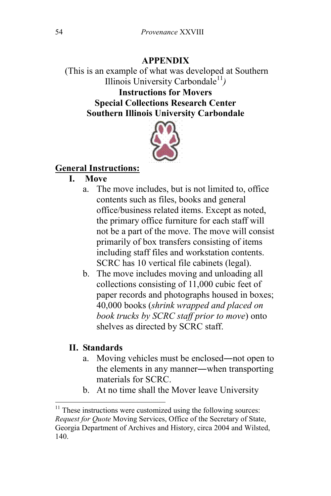## **APPENDIX**

(This is an example of what was developed at Southern Illinois University Carbondale<sup>11</sup>) **Instructions for Movers Special Collections Research Center Southern Illinois University Carbondale**



# **General Instructions:**

- **I. Move**
	- a. The move includes, but is not limited to, office contents such as files, books and general office/business related items. Except as noted, the primary office furniture for each staff will not be a part of the move. The move will consist primarily of box transfers consisting of items including staff files and workstation contents. SCRC has 10 vertical file cabinets (legal).
	- b. The move includes moving and unloading all collections consisting of 11,000 cubic feet of paper records and photographs housed in boxes; 40,000 books (*shrink wrapped and placed on book trucks by SCRC staff prior to move*) onto shelves as directed by SCRC staff.

#### **II. Standards**

 $\overline{\phantom{a}}$ 

- a. Moving vehicles must be enclosed―not open to the elements in any manner―when transporting materials for SCRC.
- b. At no time shall the Mover leave University

 $11$  These instructions were customized using the following sources: *Request for Quote* Moving Services, Office of the Secretary of State, Georgia Department of Archives and History, circa 2004 and Wilsted, 140.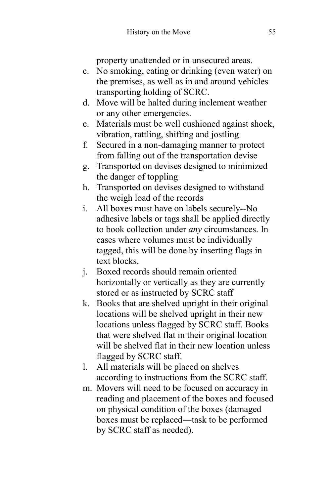property unattended or in unsecured areas.

- c. No smoking, eating or drinking (even water) on the premises, as well as in and around vehicles transporting holding of SCRC.
- d. Move will be halted during inclement weather or any other emergencies.
- e. Materials must be well cushioned against shock, vibration, rattling, shifting and jostling
- f. Secured in a non-damaging manner to protect from falling out of the transportation devise
- g. Transported on devises designed to minimized the danger of toppling
- h. Transported on devises designed to withstand the weigh load of the records
- i. All boxes must have on labels securely--No adhesive labels or tags shall be applied directly to book collection under *any* circumstances. In cases where volumes must be individually tagged, this will be done by inserting flags in text blocks.
- j. Boxed records should remain oriented horizontally or vertically as they are currently stored or as instructed by SCRC staff
- k. Books that are shelved upright in their original locations will be shelved upright in their new locations unless flagged by SCRC staff. Books that were shelved flat in their original location will be shelved flat in their new location unless flagged by SCRC staff.
- l. All materials will be placed on shelves according to instructions from the SCRC staff.
- m. Movers will need to be focused on accuracy in reading and placement of the boxes and focused on physical condition of the boxes (damaged boxes must be replaced—task to be performed by SCRC staff as needed).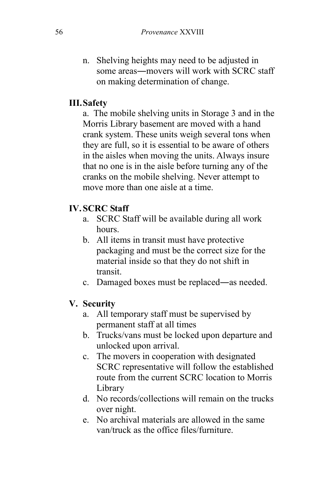n. Shelving heights may need to be adjusted in some areas―movers will work with SCRC staff on making determination of change.

# **III.Safety**

a. The mobile shelving units in Storage 3 and in the Morris Library basement are moved with a hand crank system. These units weigh several tons when they are full, so it is essential to be aware of others in the aisles when moving the units. Always insure that no one is in the aisle before turning any of the cranks on the mobile shelving. Never attempt to move more than one aisle at a time.

# **IV.SCRC Staff**

- a. SCRC Staff will be available during all work hours.
- b. All items in transit must have protective packaging and must be the correct size for the material inside so that they do not shift in transit.
- c. Damaged boxes must be replaced―as needed.

# **V. Security**

- a. All temporary staff must be supervised by permanent staff at all times
- b. Trucks/vans must be locked upon departure and unlocked upon arrival.
- c. The movers in cooperation with designated SCRC representative will follow the established route from the current SCRC location to Morris Library
- d. No records/collections will remain on the trucks over night.
- e. No archival materials are allowed in the same van/truck as the office files/furniture.